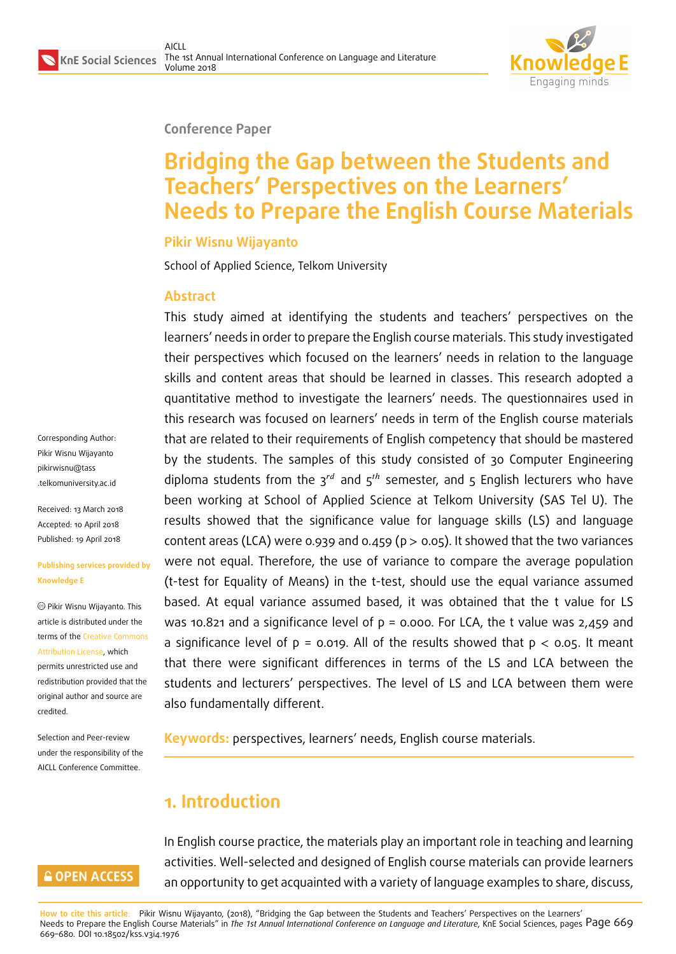

#### **Conference Paper**

# **Bridging the Gap between the Students and Teachers' Perspectives on the Learners' Needs to Prepare the English Course Materials**

#### **Pikir Wisnu Wijayanto**

School of Applied Science, Telkom University

#### **Abstract**

This study aimed at identifying the students and teachers' perspectives on the learners' needs in order to prepare the English course materials. This study investigated their perspectives which focused on the learners' needs in relation to the language skills and content areas that should be learned in classes. This research adopted a quantitative method to investigate the learners' needs. The questionnaires used in this research was focused on learners' needs in term of the English course materials that are related to their requirements of English competency that should be mastered by the students. The samples of this study consisted of 30 Computer Engineering diploma students from the  $3^{rd}$  and  $5^{th}$  semester, and 5 English lecturers who have been working at School of Applied Science at Telkom University (SAS Tel U). The results showed that the significance value for language skills (LS) and language content areas (LCA) were 0.939 and 0.459 ( $p > 0.05$ ). It showed that the two variances were not equal. Therefore, the use of variance to compare the average population (t-test for Equality of Means) in the t-test, should use the equal variance assumed based. At equal variance assumed based, it was obtained that the t value for LS was 10.821 and a significance level of  $p = 0.000$ . For LCA, the t value was 2,459 and a significance level of  $p = 0.019$ . All of the results showed that  $p < 0.05$ . It meant that there were significant differences in terms of the LS and LCA between the students and lecturers' perspectives. The level of LS and LCA between them were also fundamentally different.

**Keywords:** perspectives, learners' needs, English course materials.

# **1. Introduction**

#### **GOPEN ACCESS**

In English course practice, the materials play an important role in teaching and learning activities. Well-selected and designed of English course materials can provide learners an opportunity to get acquainted with a variety of language examples to share, discuss,

**How to cite this article**: Pikir Wisnu Wijayanto, (2018), "Bridging the Gap between the Students and Teachers' Perspectives on the Learners' Needs to Prepare the English Course Materials" in *The 1st Annual International Conference on Language and Literature*, KnE Social Sciences, pages Page 669 669–680. DOI 10.18502/kss.v3i4.1976

Corresponding Author: Pikir Wisnu Wijayanto pikirwisnu@tass .telkomuniversity.ac.id

Received: 13 March 2018 [Accepted: 10 Apr](mailto:pikirwisnu@tass.telkomuniversity.ac.id)il 2018 [Published: 19 April 201](mailto:pikirwisnu@tass.telkomuniversity.ac.id)8

#### **Publishing services provided by Knowledge E**

Pikir Wisnu Wijayanto. This article is distributed under the terms of the Creative Commons Attribution License, which permits unrestricted use and

redistribution provided that the original auth[or and source are](https://creativecommons.org/licenses/by/4.0/) [credited.](https://creativecommons.org/licenses/by/4.0/)

Selection and Peer-review under the responsibility of the AICLL Conference Committee.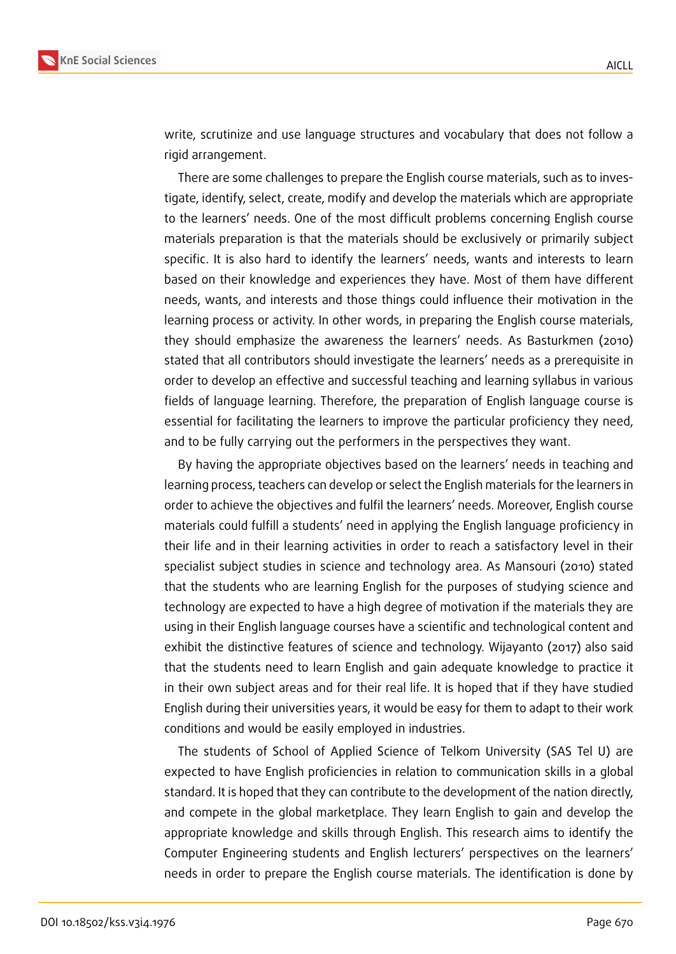

write, scrutinize and use language structures and vocabulary that does not follow a rigid arrangement.

There are some challenges to prepare the English course materials, such as to investigate, identify, select, create, modify and develop the materials which are appropriate to the learners' needs. One of the most difficult problems concerning English course materials preparation is that the materials should be exclusively or primarily subject specific. It is also hard to identify the learners' needs, wants and interests to learn based on their knowledge and experiences they have. Most of them have different needs, wants, and interests and those things could influence their motivation in the learning process or activity. In other words, in preparing the English course materials, they should emphasize the awareness the learners' needs. As Basturkmen (2010) stated that all contributors should investigate the learners' needs as a prerequisite in order to develop an effective and successful teaching and learning syllabus in various fields of language learning. Therefore, the preparation of English language course is essential for facilitating the learners to improve the particular proficiency they need, and to be fully carrying out the performers in the perspectives they want.

By having the appropriate objectives based on the learners' needs in teaching and learning process, teachers can develop or select the English materials for the learners in order to achieve the objectives and fulfil the learners' needs. Moreover, English course materials could fulfill a students' need in applying the English language proficiency in their life and in their learning activities in order to reach a satisfactory level in their specialist subject studies in science and technology area. As Mansouri (2010) stated that the students who are learning English for the purposes of studying science and technology are expected to have a high degree of motivation if the materials they are using in their English language courses have a scientific and technological content and exhibit the distinctive features of science and technology. Wijayanto (2017) also said that the students need to learn English and gain adequate knowledge to practice it in their own subject areas and for their real life. It is hoped that if they have studied English during their universities years, it would be easy for them to adapt to their work conditions and would be easily employed in industries.

The students of School of Applied Science of Telkom University (SAS Tel U) are expected to have English proficiencies in relation to communication skills in a global standard. It is hoped that they can contribute to the development of the nation directly, and compete in the global marketplace. They learn English to gain and develop the appropriate knowledge and skills through English. This research aims to identify the Computer Engineering students and English lecturers' perspectives on the learners' needs in order to prepare the English course materials. The identification is done by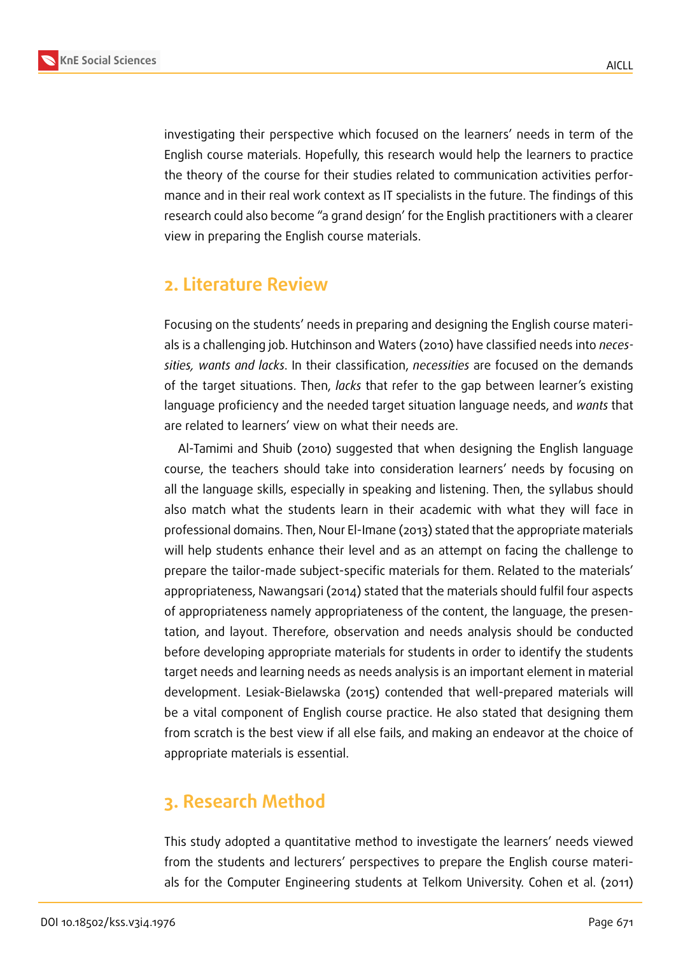

investigating their perspective which focused on the learners' needs in term of the English course materials. Hopefully, this research would help the learners to practice the theory of the course for their studies related to communication activities performance and in their real work context as IT specialists in the future. The findings of this research could also become "a grand design' for the English practitioners with a clearer view in preparing the English course materials.

## **2. Literature Review**

Focusing on the students' needs in preparing and designing the English course materials is a challenging job. Hutchinson and Waters (2010) have classified needs into *necessities, wants and lacks*. In their classification, *necessities* are focused on the demands of the target situations. Then, *lacks* that refer to the gap between learner's existing language proficiency and the needed target situation language needs, and *wants* that are related to learners' view on what their needs are.

Al-Tamimi and Shuib (2010) suggested that when designing the English language course, the teachers should take into consideration learners' needs by focusing on all the language skills, especially in speaking and listening. Then, the syllabus should also match what the students learn in their academic with what they will face in professional domains. Then, Nour El-Imane (2013) stated that the appropriate materials will help students enhance their level and as an attempt on facing the challenge to prepare the tailor-made subject-specific materials for them. Related to the materials' appropriateness, Nawangsari (2014) stated that the materials should fulfil four aspects of appropriateness namely appropriateness of the content, the language, the presentation, and layout. Therefore, observation and needs analysis should be conducted before developing appropriate materials for students in order to identify the students target needs and learning needs as needs analysis is an important element in material development. Lesiak-Bielawska (2015) contended that well-prepared materials will be a vital component of English course practice. He also stated that designing them from scratch is the best view if all else fails, and making an endeavor at the choice of appropriate materials is essential.

# **3. Research Method**

This study adopted a quantitative method to investigate the learners' needs viewed from the students and lecturers' perspectives to prepare the English course materials for the Computer Engineering students at Telkom University. Cohen et al. (2011)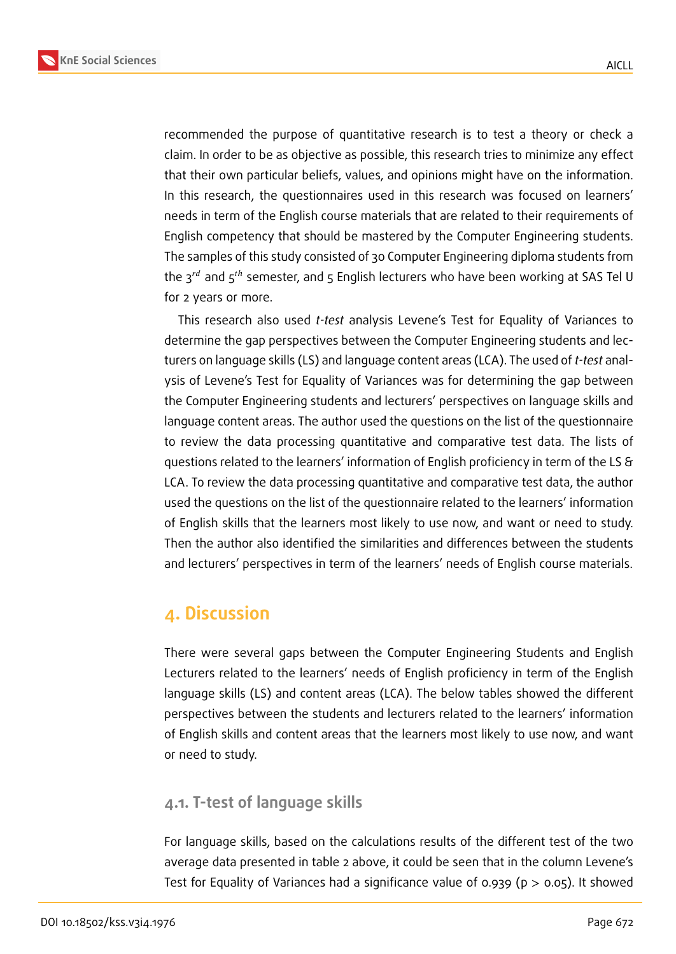

recommended the purpose of quantitative research is to test a theory or check a claim. In order to be as objective as possible, this research tries to minimize any effect that their own particular beliefs, values, and opinions might have on the information. In this research, the questionnaires used in this research was focused on learners' needs in term of the English course materials that are related to their requirements of English competency that should be mastered by the Computer Engineering students. The samples of this study consisted of 30 Computer Engineering diploma students from the  $3^{rd}$  and  $5^{th}$  semester, and  $5$  English lecturers who have been working at SAS Tel U for 2 years or more.

This research also used *t-test* analysis Levene's Test for Equality of Variances to determine the gap perspectives between the Computer Engineering students and lecturers on language skills (LS) and language content areas (LCA). The used of *t-test* analysis of Levene's Test for Equality of Variances was for determining the gap between the Computer Engineering students and lecturers' perspectives on language skills and language content areas. The author used the questions on the list of the questionnaire to review the data processing quantitative and comparative test data. The lists of questions related to the learners' information of English proficiency in term of the LS & LCA. To review the data processing quantitative and comparative test data, the author used the questions on the list of the questionnaire related to the learners' information of English skills that the learners most likely to use now, and want or need to study. Then the author also identified the similarities and differences between the students and lecturers' perspectives in term of the learners' needs of English course materials.

### **4. Discussion**

There were several gaps between the Computer Engineering Students and English Lecturers related to the learners' needs of English proficiency in term of the English language skills (LS) and content areas (LCA). The below tables showed the different perspectives between the students and lecturers related to the learners' information of English skills and content areas that the learners most likely to use now, and want or need to study.

### **4.1. T-test of language skills**

For language skills, based on the calculations results of the different test of the two average data presented in table 2 above, it could be seen that in the column Levene's Test for Equality of Variances had a significance value of 0.939 ( $p > 0.05$ ). It showed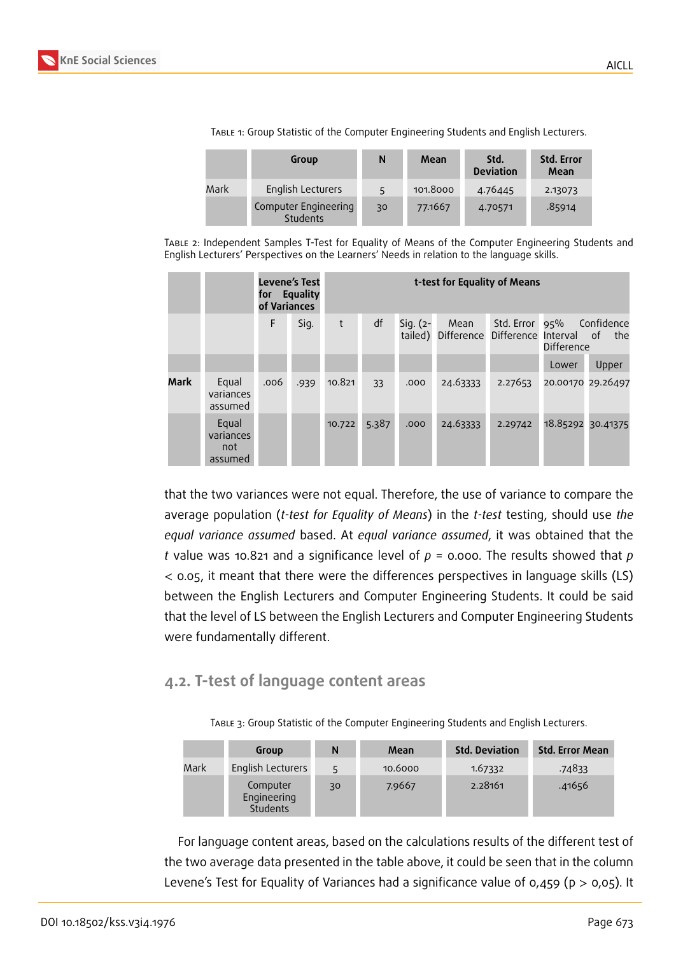

|      | Group                            | N  | Mean     | Std.<br><b>Deviation</b> | <b>Std. Error</b><br>Mean |
|------|----------------------------------|----|----------|--------------------------|---------------------------|
| Mark | English Lecturers                | 5  | 101.8000 | 4.76445                  | 2.13073                   |
|      | Computer Engineering<br>Students | 30 | 77.1667  | 4.70571                  | .85914                    |

Table 1: Group Statistic of the Computer Engineering Students and English Lecturers.

Table 2: Independent Samples T-Test for Equality of Means of the Computer Engineering Students and English Lecturers' Perspectives on the Learners' Needs in relation to the language skills.

|      |                                      | of Variances | Levene's Test<br>for Equality |        |       | t-test for Equality of Means |                                                       |                |                   |            |
|------|--------------------------------------|--------------|-------------------------------|--------|-------|------------------------------|-------------------------------------------------------|----------------|-------------------|------------|
|      |                                      | F            | Sig.                          | t      | df    | Sig. (2-                     | Mean<br>tailed) Difference Difference Interval of the | Std. Error 95% | Difference        | Confidence |
|      |                                      |              |                               |        |       |                              |                                                       |                | Lower             | Upper      |
| Mark | Equal<br>variances<br>assumed        | .006         | .939                          | 10.821 | 33    | .000                         | 24.63333                                              | 2.27653        | 20.00170 29.26497 |            |
|      | Equal<br>variances<br>not<br>assumed |              |                               | 10.722 | 5.387 | .000                         | 24.63333                                              | 2.29742        | 18.85292 30.41375 |            |

that the two variances were not equal. Therefore, the use of variance to compare the average population (*t-test for Equality of Means*) in the *t-test* testing, should use *the equal variance assumed* based. At *equal variance assumed*, it was obtained that the *t* value was 10.821 and a significance level of *p* = 0.000. The results showed that *p* < 0.05, it meant that there were the differences perspectives in language skills (LS) between the English Lecturers and Computer Engineering Students. It could be said that the level of LS between the English Lecturers and Computer Engineering Students were fundamentally different.

### **4.2. T-test of language content areas**

Table 3: Group Statistic of the Computer Engineering Students and English Lecturers.

|      | Group                               | N  | Mean    | <b>Std. Deviation</b> | <b>Std. Error Mean</b> |
|------|-------------------------------------|----|---------|-----------------------|------------------------|
| Mark | English Lecturers                   |    | 10.6000 | 1.67332               | .74833                 |
|      | Computer<br>Engineering<br>Students | 30 | 7.9667  | 2.28161               | .41656                 |

For language content areas, based on the calculations results of the different test of the two average data presented in the table above, it could be seen that in the column Levene's Test for Equality of Variances had a significance value of 0,459 ( $p > 0.05$ ). It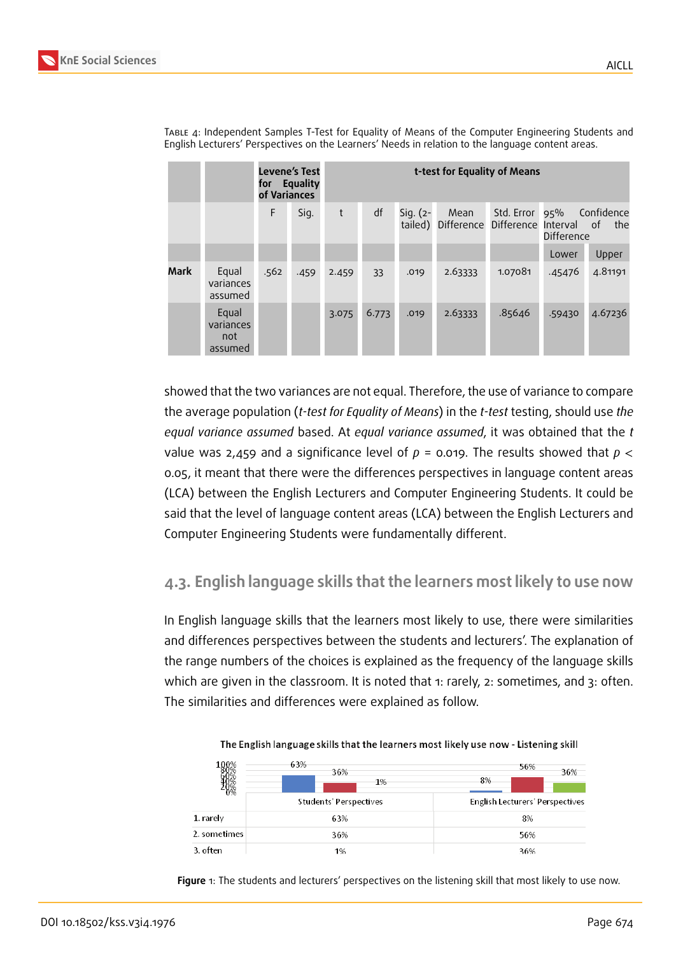**Mark** Equ

varian assur

**Equal** variances not assumed

|                   | indent Samples Thest for Equality of Means of the Computer Enqineering Students and<br>s' Perspectives on the Learners' Needs in relation to the language content areas. |                               |                              |    |             |                                                   |                           |            |         |
|-------------------|--------------------------------------------------------------------------------------------------------------------------------------------------------------------------|-------------------------------|------------------------------|----|-------------|---------------------------------------------------|---------------------------|------------|---------|
|                   | of Variances                                                                                                                                                             | Levene's Test<br>for Equality | t-test for Equality of Means |    |             |                                                   |                           |            |         |
|                   | F                                                                                                                                                                        | Sig.                          | t                            | df | $Sig. (2 -$ | Mean<br>tailed) Difference Difference Interval of | Std. Error 95% Confidence | Difference | the     |
|                   |                                                                                                                                                                          |                               |                              |    |             |                                                   |                           | Lower      | Upper   |
| al<br>ices<br>ned | .562                                                                                                                                                                     | .459                          | 2.459                        | 33 | .019        | 2.63333                                           | 1.07081                   | .45476     | 4.81191 |

3.075 6.773 .019 2.63333 .85646 .59430 4.67236

Table 4: Independent Samples T-Test for Equality of Means of the Computer Engineering Students and English Lecturer

showed that the two variances are not equal. Therefore, the use of variance to compare the average population (*t-test for Equality of Means*) in the *t-test* testing, should use *the equal variance assumed* based. At *equal variance assumed*, it was obtained that the *t* value was 2,459 and a significance level of  $p = 0.019$ . The results showed that  $p <$ 0.05, it meant that there were the differences perspectives in language content areas (LCA) between the English Lecturers and Computer Engineering Students. It could be said that the level of language content areas (LCA) between the English Lecturers and Computer Engineering Students were fundamentally different.

### **4.3. English language skills that the learners most likely to use now**

In English language skills that the learners most likely to use, there were similarities and differences perspectives between the students and lecturers'. The explanation of the range numbers of the choices is explained as the frequency of the language skills which are given in the classroom. It is noted that 1: rarely, 2: sometimes, and 3: often. The similarities and differences were explained as follow.

|              | 63%<br>36%<br>1%       | 56%<br>36%<br>8%                |
|--------------|------------------------|---------------------------------|
|              | Students' Perspectives | English Lecturers' Perspectives |
| 1. rarely    | 63%                    | 8%                              |
| 2. sometimes | 36%                    | 56%                             |
| 3. often     | 1%                     | 36%                             |

The English language skills that the learners most likely use now - Listening skill

<span id="page-5-0"></span>**Figure** 1: The students and lecturers' perspectives on the listening skill that most likely to use now.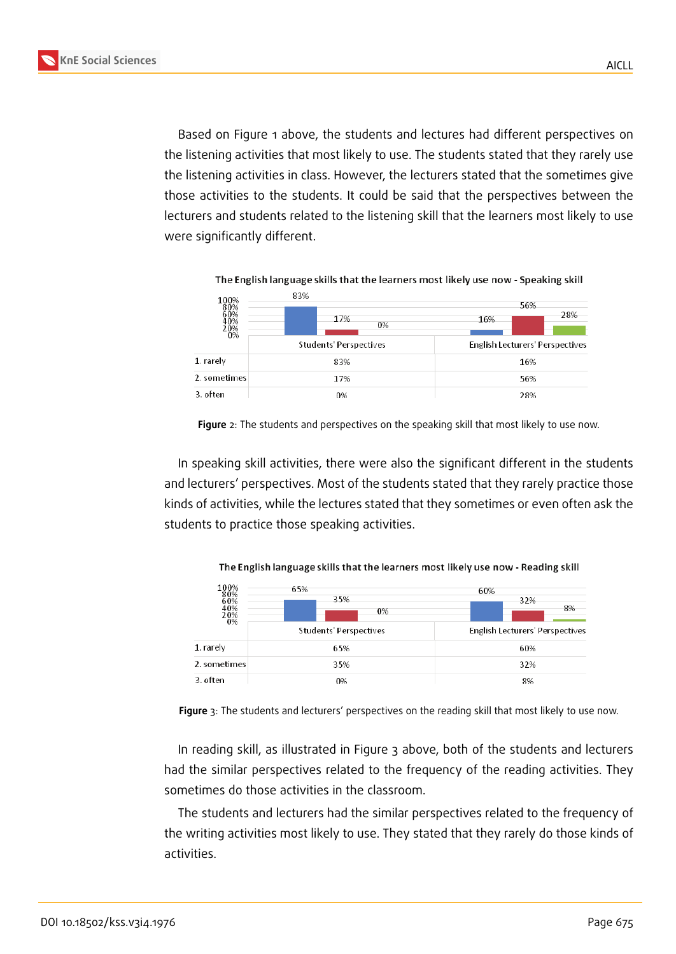Based on Figure 1 above, the students and lectures had different perspectives on the listening activities that most likely to use. The students stated that they rarely use the listening activities in class. However, the lecturers stated that the sometimes give those activities to [th](#page-5-0)e students. It could be said that the perspectives between the lecturers and students related to the listening skill that the learners most likely to use were significantly different.

| $^{100\%}_{80\%}$        | 83%                    | 56%                                    |  |  |
|--------------------------|------------------------|----------------------------------------|--|--|
| $50\%$<br><sup>20%</sup> | 17%<br>0%              | 28%<br>16%                             |  |  |
|                          | Students' Perspectives | <b>English Lecturers' Perspectives</b> |  |  |
| 1. rarely                | 83%                    | 16%                                    |  |  |
| 2. sometimes             | 17%                    | 56%                                    |  |  |
| 3. often                 | 0%                     | 28%                                    |  |  |

**Figure** 2: The students and perspectives on the speaking skill that most likely to use now.

In speaking skill activities, there were also the significant different in the students and lecturers' perspectives. Most of the students stated that they rarely practice those kinds of activities, while the lectures stated that they sometimes or even often ask the students to practice those speaking activities.

The English language skills that the learners most likely use now - Reading skill

| 100%<br>40%<br>$\substack{0\% \\ 0\%}$ | 65%<br>35%<br>0%              | 60%<br>32%<br>8%                       |
|----------------------------------------|-------------------------------|----------------------------------------|
|                                        | <b>Students' Perspectives</b> | <b>English Lecturers' Perspectives</b> |
| 1. rarely                              | 65%                           | 60%                                    |
| 2. sometimes                           | 35%                           | 32%                                    |
| 3. often                               | 0%                            | 8%                                     |

**Figure** 3: The students and lecturers' perspectives on the reading skill that most likely to use now.

<span id="page-6-0"></span>In reading skill, as illustrated in Figure 3 above, both of the students and lecturers had the similar perspectives related to the frequency of the reading activities. They sometimes do those activities in the classroom.

The students and lecturers had the sim[ila](#page-6-0)r perspectives related to the frequency of the writing activities most likely to use. They stated that they rarely do those kinds of activities.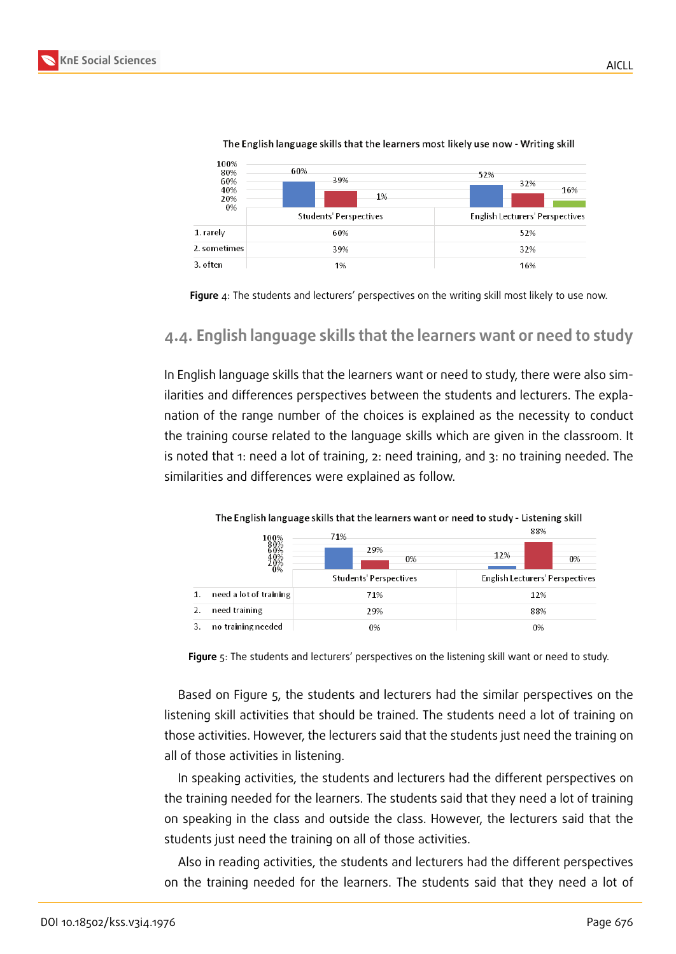| 100%<br>80%<br>60%<br>40%<br>20%<br>0% | 60%<br>39%<br>1%       | 52%<br>32%<br>16%               |  |  |
|----------------------------------------|------------------------|---------------------------------|--|--|
|                                        | Students' Perspectives | English Lecturers' Perspectives |  |  |
| 1. rarely                              | 60%                    | 52%                             |  |  |
| 2. sometimes                           | 39%                    | 32%                             |  |  |
| 3. often                               | 1%                     | 16%                             |  |  |

The English language skills that the learners most likely use now - Writing skill



#### **4.4. English language skills that the learners want or need to study**

In English language skills that the learners want or need to study, there were also similarities and differences perspectives between the students and lecturers. The explanation of the range number of the choices is explained as the necessity to conduct the training course related to the language skills which are given in the classroom. It is noted that 1: need a lot of training, 2: need training, and 3: no training needed. The similarities and differences were explained as follow.

|    |                        | The Enginemanguage binno that the rearners want or need to study - Elsterning binn |                                        |
|----|------------------------|------------------------------------------------------------------------------------|----------------------------------------|
|    | 100%                   | 71%                                                                                | 88%                                    |
|    | 0%                     | 29%<br>0%                                                                          | 12%<br>0%                              |
|    |                        | Students' Perspectives                                                             | <b>English Lecturers' Perspectives</b> |
| 1. | need a lot of training | 71%                                                                                | 12%                                    |
| 2. | need training          | 29%                                                                                | 88%                                    |
| 3. | no training needed     | 0%                                                                                 | 0%                                     |

The English language skills that the learners want or need to study - Listening skill

**Figure** 5: The students and lecturers' perspectives on the listening skill want or need to study.

<span id="page-7-0"></span>Based on Figure 5, the students and lecturers had the similar perspectives on the listening skill activities that should be trained. The students need a lot of training on those activities. However, the lecturers said that the students just need the training on all of those activiti[es](#page-7-0) in listening.

In speaking activities, the students and lecturers had the different perspectives on the training needed for the learners. The students said that they need a lot of training on speaking in the class and outside the class. However, the lecturers said that the students just need the training on all of those activities.

Also in reading activities, the students and lecturers had the different perspectives on the training needed for the learners. The students said that they need a lot of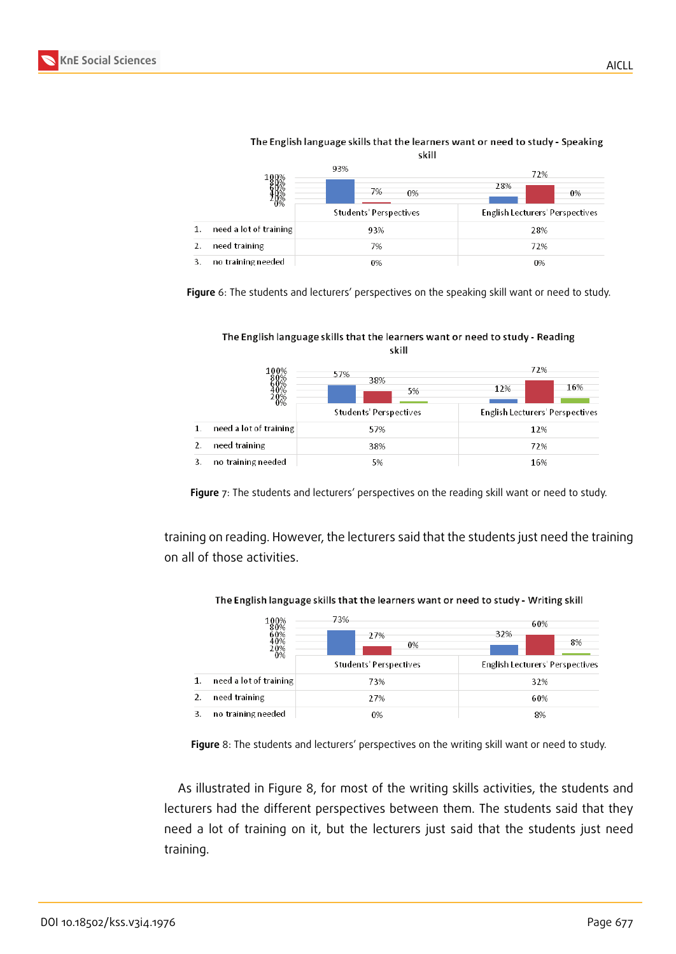|                        | 93%                    | 72%                                    |  |  |
|------------------------|------------------------|----------------------------------------|--|--|
|                        | 7%<br>0%               | 28%<br>0%                              |  |  |
| D%                     | Students' Perspectives | <b>English Lecturers' Perspectives</b> |  |  |
| need a lot of training | 93%                    | 28%                                    |  |  |
| need training<br>2.    | 7%                     | 72%                                    |  |  |
| no training needed     | 0%                     | 0%                                     |  |  |

#### The English language skills that the learners want or need to study - Speaking skill

**Figure** 6: The students and lecturers' perspectives on the speaking skill want or need to study.

The English language skills that the learners want or need to study - Reading skill

|    | 100%                   | 57%                           | 72%                                    |  |  |
|----|------------------------|-------------------------------|----------------------------------------|--|--|
|    |                        | 38%<br>5%                     | 16%<br>12%                             |  |  |
|    |                        | <b>Students' Perspectives</b> | <b>English Lecturers' Perspectives</b> |  |  |
| 1. | need a lot of training | 57%                           | 12%                                    |  |  |
| 2. | need training          | 38%                           | 72%                                    |  |  |
|    | no training needed     | 5%                            | 16%                                    |  |  |

**Figure** 7: The students and lecturers' perspectives on the reading skill want or need to study.

training on reading. However, the lecturers said that the students just need the training on all of those activities.



The English language skills that the learners want or need to study - Writing skill

**Figure** 8: The students and lecturers' perspectives on the writing skill want or need to study.

As illustrated in Figure 8, for most of the writing skills activities, the students and lecturers had the different perspectives between them. The students said that they need a lot of training on it, but the lecturers just said that the students just need training.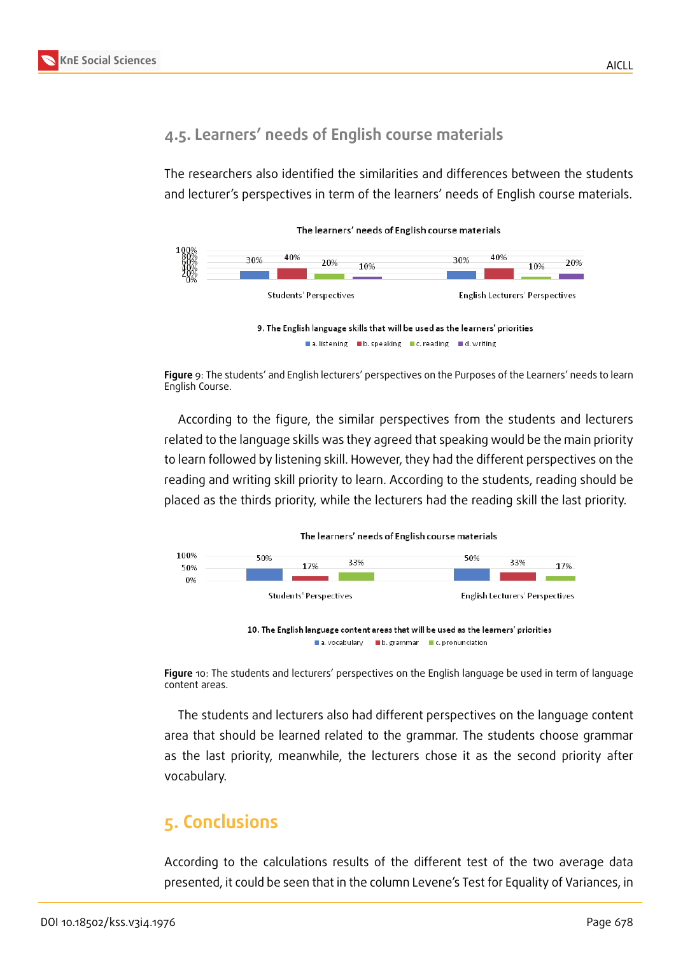

# **4.5. Learners' needs of English course materials**

The researchers also identified the similarities and differences between the students and lecturer's perspectives in term of the learners' needs of English course materials.



**Figure** 9: The students' and English lecturers' perspectives on the Purposes of the Learners' needs to learn English Course.

According to the figure, the similar perspectives from the students and lecturers related to the language skills was they agreed that speaking would be the main priority to learn followed by listening skill. However, they had the different perspectives on the reading and writing skill priority to learn. According to the students, reading should be placed as the thirds priority, while the lecturers had the reading skill the last priority.



**Figure** 10: The students and lecturers' perspectives on the English language be used in term of language content areas.

The students and lecturers also had different perspectives on the language content area that should be learned related to the grammar. The students choose grammar as the last priority, meanwhile, the lecturers chose it as the second priority after vocabulary.

# **5. Conclusions**

According to the calculations results of the different test of the two average data presented, it could be seen that in the column Levene's Test for Equality of Variances, in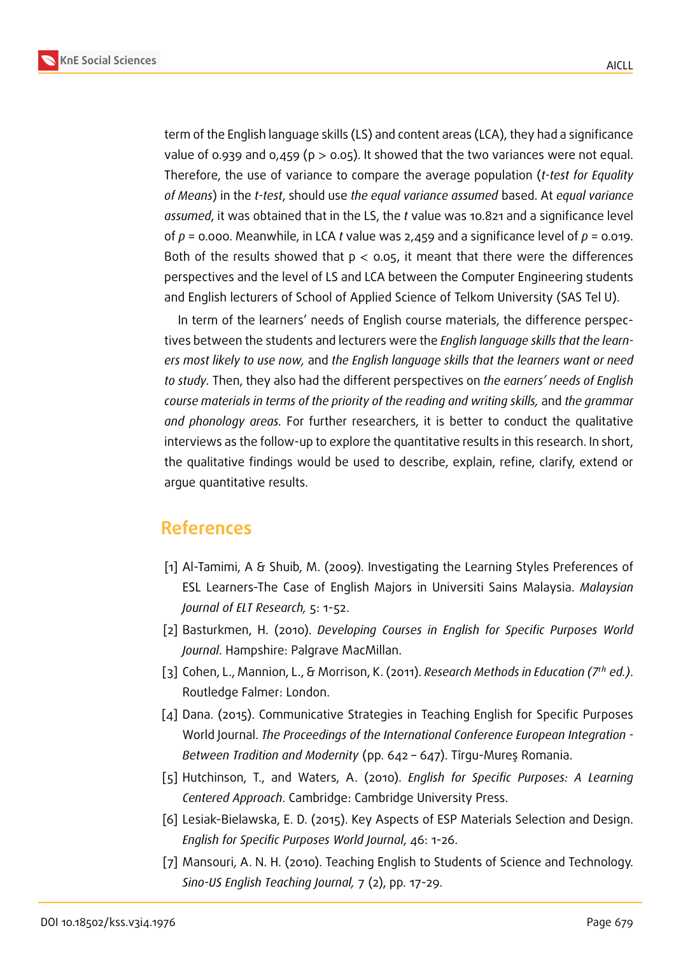**KnE Social Sciences**



term of the English language skills (LS) and content areas (LCA), they had a significance value of 0.939 and 0,459 ( $p > 0.05$ ). It showed that the two variances were not equal. Therefore, the use of variance to compare the average population (*t-test for Equality of Means*) in the *t-test*, should use *the equal variance assumed* based. At *equal variance assumed*, it was obtained that in the LS, the *t* value was 10.821 and a significance level of *p* = 0.000. Meanwhile, in LCA *t* value was 2,459 and a significance level of *p* = 0.019. Both of the results showed that  $p < 0.05$ , it meant that there were the differences perspectives and the level of LS and LCA between the Computer Engineering students and English lecturers of School of Applied Science of Telkom University (SAS Tel U).

In term of the learners' needs of English course materials, the difference perspectives between the students and lecturers were the *English language skills that the learners most likely to use now,* and *the English language skills that the learners want or need to study.* Then, they also had the different perspectives on *the earners' needs of English course materials in terms of the priority of the reading and writing skills,* and *the grammar and phonology areas.* For further researchers, it is better to conduct the qualitative interviews as the follow-up to explore the quantitative results in this research. In short, the qualitative findings would be used to describe, explain, refine, clarify, extend or argue quantitative results.

# **References**

- [1] Al-Tamimi, A & Shuib, M. (2009). Investigating the Learning Styles Preferences of ESL Learners-The Case of English Majors in Universiti Sains Malaysia. *Malaysian Journal of ELT Research,* 5: 1-52.
- [2] Basturkmen, H. (2010). *Developing Courses in English for Specific Purposes World Journal*. Hampshire: Palgrave MacMillan.
- [3] Cohen, L., Mannion, L., & Morrison, K. (2011). *Research Methods in Education (7*ℎ *ed.)*. Routledge Falmer: London.
- [4] Dana. (2015). Communicative Strategies in Teaching English for Specific Purposes World Journal. *The Proceedings of the International Conference European Integration - Between Tradition and Modernity* (pp. 642 – 647). Tîrgu-Mureş Romania.
- [5] Hutchinson, T., and Waters, A. (2010). *English for Specific Purposes: A Learning Centered Approach*. Cambridge: Cambridge University Press.
- [6] Lesiak-Bielawska, E. D. (2015). Key Aspects of ESP Materials Selection and Design. *English for Specific Purposes World Journal*, 46: 1-26.
- [7] Mansouri, A. N. H. (2010). Teaching English to Students of Science and Technology. *Sino-US English Teaching Journal,* 7 (2), pp. 17-29.